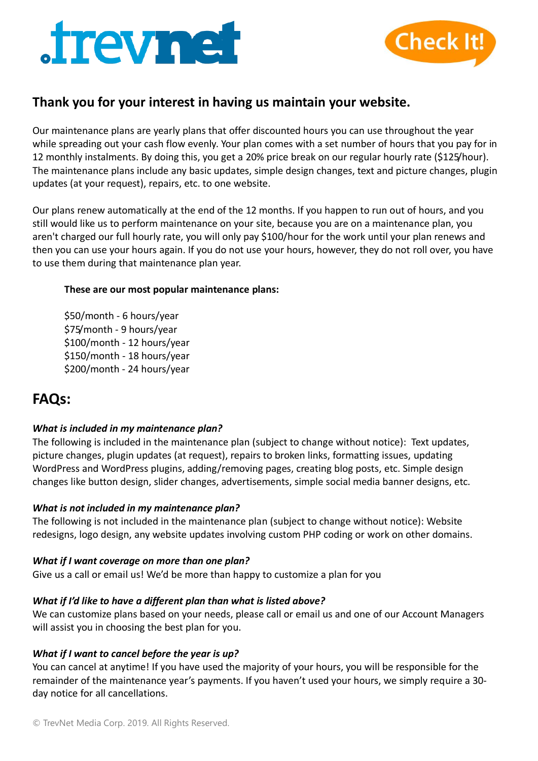



# **Thank you for your interest in having us maintain your website.**

Our maintenance plans are yearly plans that offer discounted hours you can use throughout the year while spreading out your cash flow evenly. Your plan comes with a set number of hours that you pay for in 12 monthly instalments. By doing this, you get a 20% price break on our regular hourly rate (\$125/hour). The maintenance plans include any basic updates, simple design changes, text and picture changes, plugin updates (at your request), repairs, etc. to one website.

Our plans renew automatically at the end of the 12 months. If you happen to run out of hours, and you still would like us to perform maintenance on your site, because you are on a maintenance plan, you aren't charged our full hourly rate, you will only pay \$100/hour for the work until your plan renews and then you can use your hours again. If you do not use your hours, however, they do not roll over, you have to use them during that maintenance plan year.

#### **These are our most popular maintenance plans:**

\$50/month - 6 hours/year \$75/month - 9 hours/year \$100/month - 12 hours/year \$150/month - 18 hours/year \$200/month - 24 hours/year

# **FAQs:**

# *What is included in my maintenance plan?*

The following is included in the maintenance plan (subject to change without notice): Text updates, picture changes, plugin updates (at request), repairs to broken links, formatting issues, updating WordPress and WordPress plugins, adding/removing pages, creating blog posts, etc. Simple design changes like button design, slider changes, advertisements, simple social media banner designs, etc.

#### *What is not included in my maintenance plan?*

The following is not included in the maintenance plan (subject to change without notice): Website redesigns, logo design, any website updates involving custom PHP coding or work on other domains.

#### *What if I want coverage on more than one plan?*

Give us a call or email us! We'd be more than happy to customize a plan for you

# *What if I'd like to have a different plan than what is listed above?*

We can customize plans based on your needs, please call or email us and one of our Account Managers will assist you in choosing the best plan for you.

# *What if I want to cancel before the year is up?*

You can cancel at anytime! If you have used the majority of your hours, you will be responsible for the remainder of the maintenance year's payments. If you haven't used your hours, we simply require a 30 day notice for all cancellations.